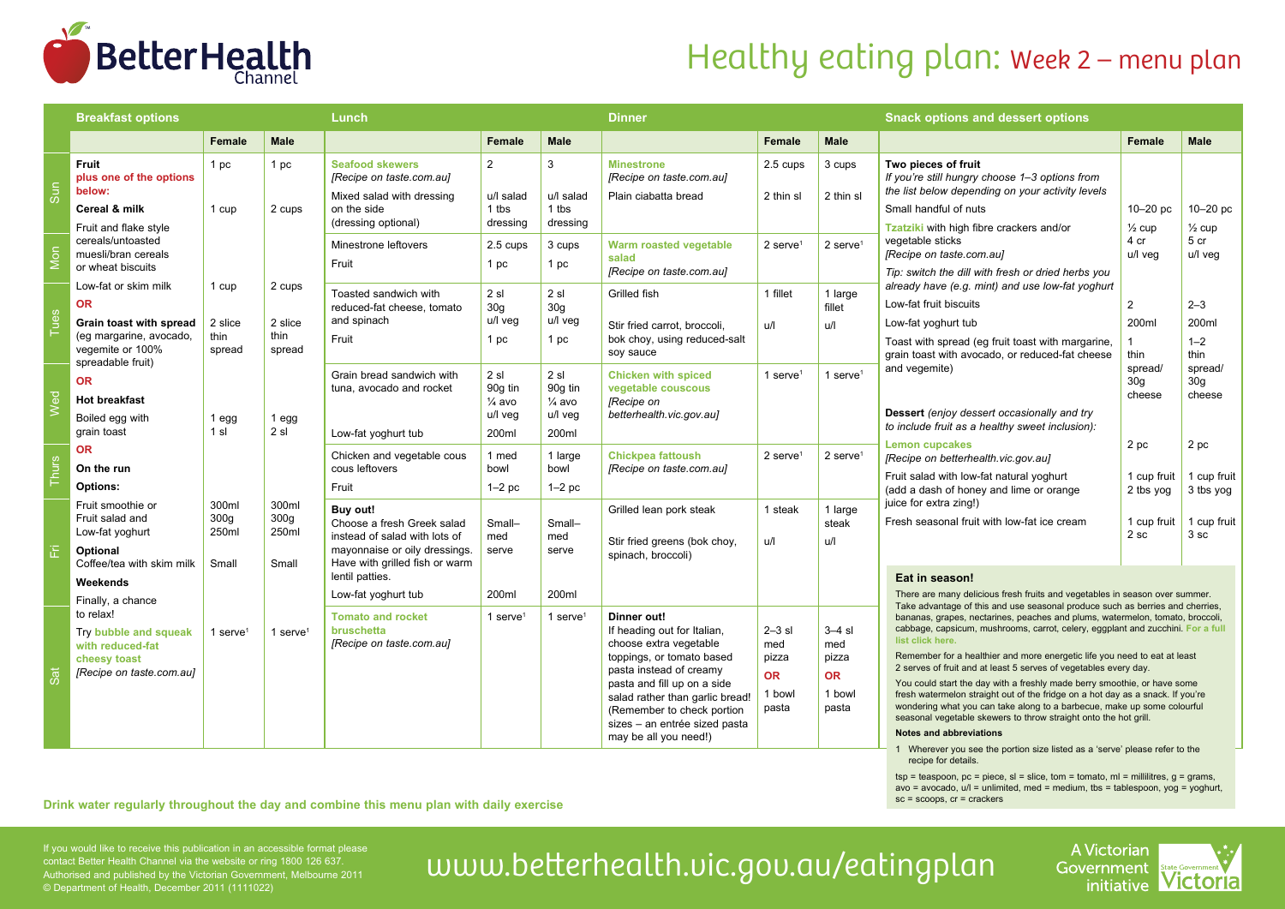

# Healthy eating plan: Week 2 – menu plan

|              | <b>Breakfast options</b>                                                                                                         |                                             |                                             | Lunch                                                                                                                                      |                                                          |                                                         | <b>Dinner</b>                                                                                                                                                                                                                                                                          |                                                            |                                                          | <b>Snack options and dessert options</b>                                                                                                                                                                                                                                                                                                                                                                                                                                                                                                                                                                                                                                                                                                                                                                                                                                    |                                      |                                      |
|--------------|----------------------------------------------------------------------------------------------------------------------------------|---------------------------------------------|---------------------------------------------|--------------------------------------------------------------------------------------------------------------------------------------------|----------------------------------------------------------|---------------------------------------------------------|----------------------------------------------------------------------------------------------------------------------------------------------------------------------------------------------------------------------------------------------------------------------------------------|------------------------------------------------------------|----------------------------------------------------------|-----------------------------------------------------------------------------------------------------------------------------------------------------------------------------------------------------------------------------------------------------------------------------------------------------------------------------------------------------------------------------------------------------------------------------------------------------------------------------------------------------------------------------------------------------------------------------------------------------------------------------------------------------------------------------------------------------------------------------------------------------------------------------------------------------------------------------------------------------------------------------|--------------------------------------|--------------------------------------|
|              |                                                                                                                                  | Female                                      | <b>Male</b>                                 |                                                                                                                                            | <b>Female</b>                                            | <b>Male</b>                                             |                                                                                                                                                                                                                                                                                        | <b>Female</b>                                              | <b>Male</b>                                              |                                                                                                                                                                                                                                                                                                                                                                                                                                                                                                                                                                                                                                                                                                                                                                                                                                                                             | <b>Female</b>                        | <b>Male</b>                          |
| Sun          | <b>Fruit</b><br>plus one of the options<br>below:<br>Cereal & milk<br>Fruit and flake style                                      | 1 pc<br>1 cup                               | 1 pc<br>2 cups                              | <b>Seafood skewers</b><br>[Recipe on taste.com.au]<br>Mixed salad with dressing<br>on the side<br>(dressing optional)                      | $\overline{2}$<br>u/l salad<br>1 tbs<br>dressing         | 3<br>u/l salad<br>1 tbs<br>dressing                     | <b>Minestrone</b><br>[Recipe on taste.com.au]<br>Plain ciabatta bread                                                                                                                                                                                                                  | 2.5 cups<br>2 thin sl                                      | 3 cups<br>2 thin sl                                      | Two pieces of fruit<br>If you're still hungry choose 1-3 options from<br>the list below depending on your activity levels<br>Small handful of nuts<br>Tzatziki with high fibre crackers and/or<br>vegetable sticks<br>[Recipe on taste.com.au]<br>Tip: switch the dill with fresh or dried herbs you<br>already have (e.g. mint) and use low-fat yoghurt<br>Low-fat fruit biscuits<br>Low-fat yoghurt tub<br>Toast with spread (eg fruit toast with margarine,<br>grain toast with avocado, or reduced-fat cheese<br>and vegemite)<br><b>Dessert</b> (enjoy dessert occasionally and try<br>to include fruit as a healthy sweet inclusion):<br><b>Lemon cupcakes</b><br>[Recipe on betterhealth.vic.gov.au]<br>Fruit salad with low-fat natural yoghurt<br>(add a dash of honey and lime or orange<br>juice for extra zing!)<br>Fresh seasonal fruit with low-fat ice cream | $10-20$ pc<br>$\frac{1}{2}$ cup      | $10-20$ pc<br>$\frac{1}{2}$ cup      |
| Mon          | cereals/untoasted<br>muesli/bran cereals<br>or wheat biscuits                                                                    |                                             |                                             | Minestrone leftovers<br>Fruit                                                                                                              | 2.5 cups<br>1 pc                                         | 3 cups<br>1 pc                                          | Warm roasted vegetable<br>salad<br>[Recipe on taste.com.au]                                                                                                                                                                                                                            | $2$ serve <sup>1</sup>                                     | $2$ serve <sup>1</sup>                                   |                                                                                                                                                                                                                                                                                                                                                                                                                                                                                                                                                                                                                                                                                                                                                                                                                                                                             | 4 cr<br>u/l veg                      | 5 cr<br>u/l veg                      |
| Tues         | Low-fat or skim milk<br><b>OR</b><br>Grain toast with spread<br>(eg margarine, avocado,<br>vegemite or 100%<br>spreadable fruit) | 1 cup<br>2 slice<br>thin<br>spread          | 2 cups<br>2 slice<br>thin<br>spread         | Toasted sandwich with<br>reduced-fat cheese, tomato<br>and spinach<br>Fruit                                                                | 2 sl<br>30 <sub>g</sub><br>u/l veg<br>1 pc               | 2 sl<br>30 <sub>g</sub><br>u/l veg<br>1 pc              | Grilled fish<br>Stir fried carrot, broccoli.<br>bok choy, using reduced-salt<br>soy sauce                                                                                                                                                                                              | 1 fillet<br>u/l                                            | 1 large<br>fillet<br>u/l                                 |                                                                                                                                                                                                                                                                                                                                                                                                                                                                                                                                                                                                                                                                                                                                                                                                                                                                             | $\overline{2}$<br>200ml<br>thin      | $2 - 3$<br>200ml<br>$1 - 2$<br>thin  |
| Wed          | <b>OR</b><br><b>Hot breakfast</b><br>Boiled egg with<br>grain toast                                                              | $1$ egg<br>1 sl                             | $1$ egg<br>2sl                              | Grain bread sandwich with<br>tuna, avocado and rocket<br>Low-fat yoghurt tub                                                               | 2 sl<br>90g tin<br>$\frac{1}{4}$ avo<br>u/l veg<br>200ml | 2sl<br>90g tin<br>$\frac{1}{4}$ avo<br>u/l veg<br>200ml | <b>Chicken with spiced</b><br>vegetable couscous<br>[Recipe on<br>betterhealth.vic.gov.aul                                                                                                                                                                                             | 1 serve $1$                                                | 1 serve <sup>1</sup>                                     |                                                                                                                                                                                                                                                                                                                                                                                                                                                                                                                                                                                                                                                                                                                                                                                                                                                                             | spread/<br>30 <sub>g</sub><br>cheese | spread/<br>30 <sub>g</sub><br>cheese |
| <b>Thurs</b> | <b>OR</b><br>On the run<br>Options:                                                                                              |                                             |                                             | Chicken and vegetable cous<br>cous leftovers<br>Fruit                                                                                      | 1 med<br>bowl<br>$1-2$ pc                                | 1 large<br>bowl<br>$1-2$ pc                             | <b>Chickpea fattoush</b><br>[Recipe on taste.com.au]                                                                                                                                                                                                                                   | $2$ serve <sup>1</sup>                                     | $2$ serve <sup>1</sup>                                   |                                                                                                                                                                                                                                                                                                                                                                                                                                                                                                                                                                                                                                                                                                                                                                                                                                                                             | 2 pc<br>1 cup fruit<br>2 tbs yog     | 2 pc<br>1 cup fruit<br>3 tbs yog     |
| 置            | Fruit smoothie or<br>Fruit salad and<br>Low-fat yoghurt<br>Optional<br>Coffee/tea with skim milk                                 | 300ml<br>300 <sub>g</sub><br>250ml<br>Small | 300ml<br>300 <sub>g</sub><br>250ml<br>Small | Buy out!<br>Choose a fresh Greek salad<br>instead of salad with lots of<br>mayonnaise or oily dressings.<br>Have with grilled fish or warm | Small-<br>med<br>serve                                   | Small-<br>med<br>serve                                  | Grilled lean pork steak<br>Stir fried greens (bok choy,<br>spinach, broccoli)                                                                                                                                                                                                          | 1 steak<br>u/l                                             | 1 large<br>steak<br>u/l                                  |                                                                                                                                                                                                                                                                                                                                                                                                                                                                                                                                                                                                                                                                                                                                                                                                                                                                             | 1 cup fruit<br>2 sc                  | 1 cup fruit<br>3 <sub>sc</sub>       |
|              | Weekends<br>Finally, a chance                                                                                                    |                                             |                                             | lentil patties.<br>Low-fat yoghurt tub                                                                                                     | 200ml                                                    | 200ml                                                   |                                                                                                                                                                                                                                                                                        |                                                            |                                                          | Eat in season!<br>There are many delicious fresh fruits and vegetables in season over summer.<br>Take advantage of this and use seasonal produce such as berries and cherries,                                                                                                                                                                                                                                                                                                                                                                                                                                                                                                                                                                                                                                                                                              |                                      |                                      |
| Sat          | to relax!<br>Try bubble and squeak<br>with reduced-fat<br>cheesy toast<br>[Recipe on taste.com.au]                               | 1 serve $1$                                 | 1 serve $1$                                 | <b>Tomato and rocket</b><br>bruschetta<br>[Recipe on taste.com.au]                                                                         | 1 serve <sup>1</sup>                                     | 1 serve $1$                                             | Dinner out!<br>If heading out for Italian,<br>choose extra vegetable<br>toppings, or tomato based<br>pasta instead of creamy<br>pasta and fill up on a side<br>salad rather than garlic bread!<br>(Remember to check portion<br>sizes - an entrée sized pasta<br>may be all you need!) | $2 - 3$ sl<br>med<br>pizza<br><b>OR</b><br>1 bowl<br>pasta | $3-4$ sl<br>med<br>pizza<br><b>OR</b><br>1 bowl<br>pasta | bananas, grapes, nectarines, peaches and plums, watermelon, tomato, broccoli,<br>cabbage, capsicum, mushrooms, carrot, celery, eggplant and zucchini. For a full<br>list click here.<br>Remember for a healthier and more energetic life you need to eat at least<br>2 serves of fruit and at least 5 serves of vegetables every day.<br>You could start the day with a freshly made berry smoothie, or have some<br>fresh watermelon straight out of the fridge on a hot day as a snack. If you're<br>wondering what you can take along to a barbecue, make up some colourful<br>seasonal vegetable skewers to throw straight onto the hot grill.<br><b>Notes and abbreviations</b><br>the contract of the contract of the contract of the contract of the contract of the contract of the contract of                                                                     |                                      |                                      |

1 Wherever you see the portion size listed as a 'serve' please refer to the recipe for details.

 $tsp = t$ easpoon,  $pc = piece$ ,  $sl = slice$ ,  $tom = tomato$ ,  $ml = millilitres$ ,  $q = grams$ ,  $a$ vo = avocado, u/l = unlimited, med = medium, tbs = tablespoon, yog = yoghurt, sc = scoops. cr = crackers

Drink water regularly throughout the day and combine this menu plan with daily exercise

contact Better Health Channel via the website or ring 1800 126 637. Authorised and published by the Victorian Government, Melbourne 2011 © Department of Health, December 2011 (1111022)

If you would like to receive this publication in an accessible format please<br>Contact Better Health Channel via the website or ring 1800 126 637.<br>Authorised and published by the Victorian Government, Melbourne 2011 UWW.bett